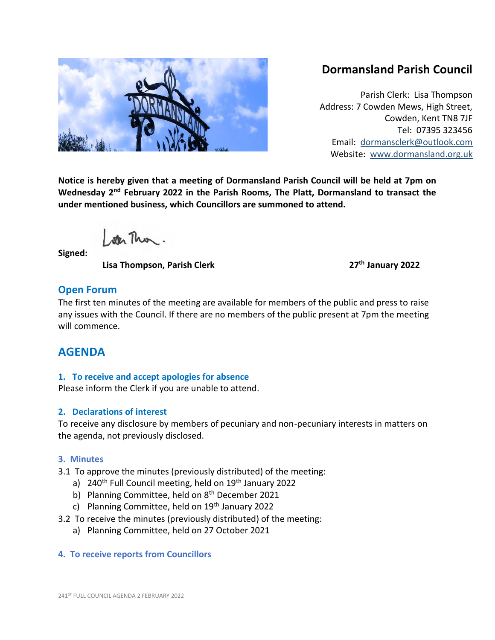

# **Dormansland Parish Council**

Parish Clerk: Lisa Thompson Address: 7 Cowden Mews, High Street, Cowden, Kent TN8 7JF Tel: 07395 323456 Email: [dormansclerk@outlook.com](mailto:dormansclerk@outlook.com) Website: [www.dormansland.org.uk](http://www.dormansland.org.uk/)

**Notice is hereby given that a meeting of Dormansland Parish Council will be held at 7pm on Wednesday 2nd February 2022 in the Parish Rooms, The Platt, Dormansland to transact the under mentioned business, which Councillors are summoned to attend.**

ster This.

**Signed:** 

 **Lisa Thompson, Parish Clerk 27th January 2022**

## **Open Forum**

The first ten minutes of the meeting are available for members of the public and press to raise any issues with the Council. If there are no members of the public present at 7pm the meeting will commence.

## **AGENDA**

### **1. To receive and accept apologies for absence**

Please inform the Clerk if you are unable to attend.

## **2. Declarations of interest**

To receive any disclosure by members of pecuniary and non-pecuniary interests in matters on the agenda, not previously disclosed.

## **3. Minutes**

3.1 To approve the minutes (previously distributed) of the meeting:

- a)  $240<sup>th</sup>$  Full Council meeting, held on  $19<sup>th</sup>$  January 2022
- b) Planning Committee, held on 8<sup>th</sup> December 2021
- c) Planning Committee, held on  $19<sup>th</sup>$  January 2022
- 3.2 To receive the minutes (previously distributed) of the meeting:
	- a) Planning Committee, held on 27 October 2021

## **4. To receive reports from Councillors**